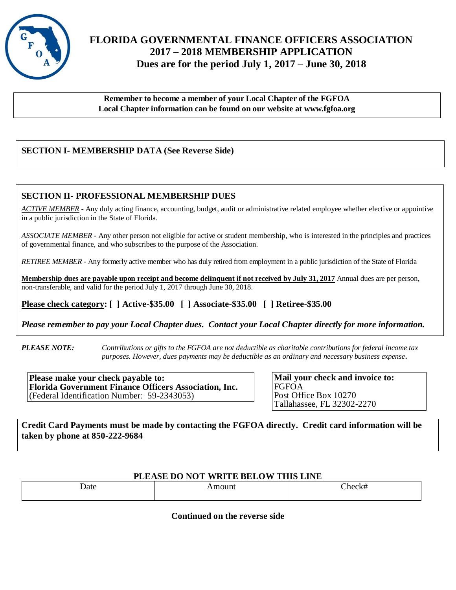

## **FLORIDA GOVERNMENTAL FINANCE OFFICERS ASSOCIATION 2017 – 2018 MEMBERSHIP APPLICATION Dues are for the period July 1, 2017 – June 30, 2018**

**Remember to become a member of your Local Chapter of the FGFOA Local Chapter information can be found on our website at www.fgfoa.org**

### **SECTION I- MEMBERSHIP DATA (See Reverse Side)**

#### **SECTION II- PROFESSIONAL MEMBERSHIP DUES**

*ACTIVE MEMBER* - Any duly acting finance, accounting, budget, audit or administrative related employee whether elective or appointive in a public jurisdiction in the State of Florida.

*ASSOCIATE MEMBER* - Any other person not eligible for active or student membership, who is interested in the principles and practices of governmental finance, and who subscribes to the purpose of the Association.

*RETIREE MEMBER -* Any formerly active member who has duly retired from employment in a public jurisdiction of the State of Florida

**Membership dues are payable upon receipt and become delinquent if not received by July 31, 2017** Annual dues are per person, non-transferable, and valid for the period July 1, 2017 through June 30, 2018.

 **Please check category: [ ] Active-\$35.00 [ ] Associate-\$35.00 [ ] Retiree-\$35.00**

*Please remember to pay your Local Chapter dues. Contact your Local Chapter directly for more information.* 

*PLEASE NOTE: Contributions or gifts to the FGFOA are not deductible as charitable contributions for federal income tax purposes. However, dues payments may be deductible as an ordinary and necessary business expense.*

**Please make your check payable to: Florida Government Finance Officers Association, Inc.** (Federal Identification Number: 59-2343053)

**Mail your check and invoice to:** FGFOA Post Office Box 10270 Tallahassee, FL 32302-2270

**Credit Card Payments must be made by contacting the FGFOA directly. Credit card information will be taken by phone at 850-222-9684**

#### **PLEASE DO NOT WRITE BELOW THIS LINE**

| . | _______ |
|---|---------|
|   |         |

**Continued on the reverse side**